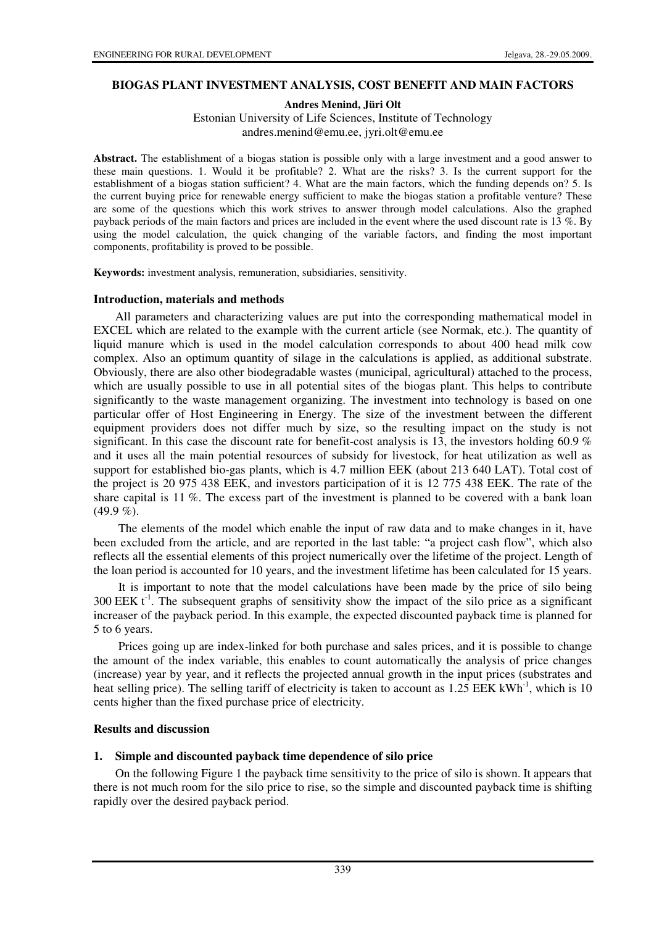### **BIOGAS PLANT INVESTMENT ANALYSIS, COST BENEFIT AND MAIN FACTORS**

**Andres Menind, Jüri Olt**

Estonian University of Life Sciences, Institute of Technology andres.menind@emu.ee, jyri.olt@emu.ee

**Abstract.** The establishment of a biogas station is possible only with a large investment and a good answer to these main questions. 1. Would it be profitable? 2. What are the risks? 3. Is the current support for the establishment of a biogas station sufficient? 4. What are the main factors, which the funding depends on? 5. Is the current buying price for renewable energy sufficient to make the biogas station a profitable venture? These are some of the questions which this work strives to answer through model calculations. Also the graphed payback periods of the main factors and prices are included in the event where the used discount rate is 13 %. By using the model calculation, the quick changing of the variable factors, and finding the most important components, profitability is proved to be possible.

**Keywords:** investment analysis, remuneration, subsidiaries, sensitivity.

#### **Introduction, materials and methods**

All parameters and characterizing values are put into the corresponding mathematical model in EXCEL which are related to the example with the current article (see Normak, etc.). The quantity of liquid manure which is used in the model calculation corresponds to about 400 head milk cow complex. Also an optimum quantity of silage in the calculations is applied, as additional substrate. Obviously, there are also other biodegradable wastes (municipal, agricultural) attached to the process, which are usually possible to use in all potential sites of the biogas plant. This helps to contribute significantly to the waste management organizing. The investment into technology is based on one particular offer of Host Engineering in Energy. The size of the investment between the different equipment providers does not differ much by size, so the resulting impact on the study is not significant. In this case the discount rate for benefit-cost analysis is 13, the investors holding 60.9  $\%$ and it uses all the main potential resources of subsidy for livestock, for heat utilization as well as support for established bio-gas plants, which is 4.7 million EEK (about 213 640 LAT). Total cost of the project is 20 975 438 EEK, and investors participation of it is 12 775 438 EEK. The rate of the share capital is 11 %. The excess part of the investment is planned to be covered with a bank loan  $(49.9\%).$ 

 The elements of the model which enable the input of raw data and to make changes in it, have been excluded from the article, and are reported in the last table: "a project cash flow", which also reflects all the essential elements of this project numerically over the lifetime of the project. Length of the loan period is accounted for 10 years, and the investment lifetime has been calculated for 15 years.

 It is important to note that the model calculations have been made by the price of silo being 300 EEK  $t^{-1}$ . The subsequent graphs of sensitivity show the impact of the silo price as a significant increaser of the payback period. In this example, the expected discounted payback time is planned for 5 to 6 years.

 Prices going up are index-linked for both purchase and sales prices, and it is possible to change the amount of the index variable, this enables to count automatically the analysis of price changes (increase) year by year, and it reflects the projected annual growth in the input prices (substrates and heat selling price). The selling tariff of electricity is taken to account as  $1.25$  EEK kWh<sup>-1</sup>, which is 10 cents higher than the fixed purchase price of electricity.

### **Results and discussion**

### **1. Simple and discounted payback time dependence of silo price**

On the following Figure 1 the payback time sensitivity to the price of silo is shown. It appears that there is not much room for the silo price to rise, so the simple and discounted payback time is shifting rapidly over the desired payback period.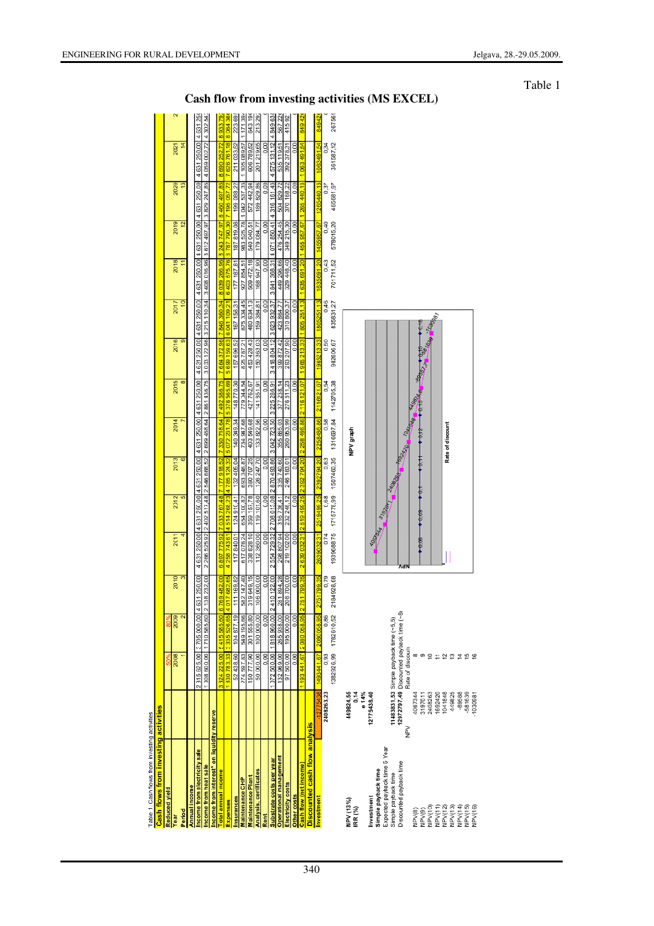| <b>Cash flows from investing activities</b> |            |                |                                    |              |                                        |            |                                                                  |                           |              |                                                                                                                                 |                                |                                       |                                        |  |
|---------------------------------------------|------------|----------------|------------------------------------|--------------|----------------------------------------|------------|------------------------------------------------------------------|---------------------------|--------------|---------------------------------------------------------------------------------------------------------------------------------|--------------------------------|---------------------------------------|----------------------------------------|--|
| <b>Reduced vield</b>                        |            | 50%            |                                    |              |                                        |            |                                                                  |                           |              |                                                                                                                                 |                                |                                       |                                        |  |
| Year                                        |            | 2008           | 2009                               | 2010         | 2011                                   | 2012       | 2013                                                             | 2014                      | 2015         | 2016                                                                                                                            | 2017                           | 2018                                  | 2019                                   |  |
| Period                                      |            |                | $\overline{\mathbf{c}}$            | S            |                                        | 5          | $\overline{6}$                                                   |                           | ∞            | $\overline{\sigma}$                                                                                                             | $\overline{1}$                 | Η                                     | 12                                     |  |
| Annual income                               |            |                |                                    |              |                                        |            |                                                                  |                           |              |                                                                                                                                 |                                |                                       |                                        |  |
| Income from electricity sale                |            | 231            | 5 625.00 3 705 000.00 4 631 250.00 |              |                                        |            |                                                                  |                           |              | 4 631 250 00 4 631 250 00 4 631 250 00 4 631 250 00 4 631 250 00 4 631 250 00 4 631 250 00 4 631 260 00 4 631 260 00 4 631 250. |                                |                                       |                                        |  |
| ncome from heat sale                        |            | 1008600,00     | 1710 585,60                        | 2138232.00   |                                        |            | 2 266 525 92 2 402 517,48 2 546 668,52 2 699 468,64 2 861 436,75 |                           |              |                                                                                                                                 | 3 0 33 1 22 96 3 2 1 5 1 10 34 | 3 408 016,96                          | 3 612 497, 97 3 829 247, 85            |  |
| ncome from interest* on liquidity reserve   |            |                |                                    |              |                                        |            |                                                                  |                           |              |                                                                                                                                 |                                |                                       |                                        |  |
| otal annual income                          |            | 3324225,00     | 5415585.60                         | 6 769 482.00 | 6 897 775 92 7 033 767 48 7 177 918 52 |            |                                                                  | 7 330 718 64 7 492 686 75 |              |                                                                                                                                 | 7 664 372.96 7 846 360.34      | 8 039 266 96 8 243 747 97 8 460 497 8 |                                        |  |
| xpenses                                     |            |                | 1830783,33 335526,65               | 4017682.65   | 4 258 743 61 4 514 268 23 4 785 124 32 |            |                                                                  | 5 072 231.78              | 5376565,69   | 5 6 9 9 1 5 9 6 3 6 6 0 4 1 1 0 9 2 1                                                                                           |                                | 6403575.76                            | 6 787 790.30 7 195 057                 |  |
| nsurances                                   |            | 438.60         | 104 877.19                         | 111 169.82   | 117840.01                              | 124910.41  | 132 405.04                                                       | 140349.34                 | 148770.30    | 157 696.52                                                                                                                      | 167 158.31                     | 177 187.81                            | 187819.08                              |  |
| Maintenance CHP                             |            | 597.83<br>274  | 549 195.66                         | 582 147.40   | 61707624                               | 654 100.82 | 693 346,87                                                       | 734 947.68                | 779044.54    | 825787.21                                                                                                                       | 875334.45                      | 927 854.51                            | 983 525.78                             |  |
| Maintenance Plant                           |            | 150777,90      | 301555.80                          | 319649.15    | 338828.10                              | 359 157.78 | 380 707.25                                                       | 403549.68                 | 427762.67    | 453428.43                                                                                                                       | 480634.13                      | 509 472.18                            | 540 040.51                             |  |
| Analysis, certificates                      |            | 0000.00        | 100 000.00                         | 106 000.00   | 112360.00                              | 119 101,60 | 126 247,70                                                       | 133822.56                 | 141851.91    | 150 363.03                                                                                                                      | 159 384.81                     | 947.90<br>168                         | 179 084.77                             |  |
| Rent                                        |            | 0.00           | 0.00                               | 0.00         | 000                                    | 0.00       | 0.00                                                             | 0.00                      | 0.00         | $\frac{50}{2}$                                                                                                                  | 0.00                           | 0.00                                  | 0.00                                   |  |
| ubstrate costs per year                     |            | 500,00<br>1072 | 1818960.00                         | 2410122.00   |                                        |            | 255472932 2708 013,08 2870493.86                                 | 3 042 723.50              | 3 225 286.91 | 3418804.12                                                                                                                      | 3623932.37                     | 368.31<br>3841                        | 4 071 850.41                           |  |
| perational management                       |            | 132 969,00     | 265938.00                          | 281894.28    | 298 807 94                             | 316736.41  | 335740.60                                                        | 355885.03                 | 377 238, 14  | 399 872.42                                                                                                                      | 423864.77                      | 449 296.66                            | 476 254.45                             |  |
| lectricity costs                            |            | 500,00         | 195 000,00                         | 206700.00    | 219 102 00                             | 232 248.12 | 246 183,01                                                       | 260 953.99                | 276611.23    | 293 207.90                                                                                                                      | 310800.37                      | 329 448,40                            | 349 215.30                             |  |
| Other costs                                 |            | 0.00           | 0.00                               | 0.00         | 0.00                                   | 0.00       | 0.00                                                             | 0.00                      | 0.00         | 0.00                                                                                                                            | 0.00                           | 0.00                                  | 0.00                                   |  |
| Cash flow (net income)                      |            | 1493441.67     | 2080058.95 2751799.35              |              |                                        |            | 2 639 032 31 2 519 499 25 2 392 794 20 2 258 486 86              |                           | 2 116 121 07 | 1965213.33                                                                                                                      | 1805251.13                     |                                       | 1 635 691 20 1 455 957 67 1 265 440 13 |  |
| iscounted cash flow analysis                |            |                |                                    |              |                                        |            |                                                                  |                           |              |                                                                                                                                 |                                |                                       |                                        |  |
| nvestment                                   | 12775438   | 191441.67      | 2080058.95                         | 2751799.35   | 2639032.31                             |            | 2519499.25 2392794.20                                            | 2258486.86                | 2116121.07   | 1965213,33                                                                                                                      | 13<br>1805251                  | 1635691.20                            | 1455957.67                             |  |
|                                             | nananch na | co o           | o oc                               | n 70         | へっょ                                    | 0000       | o co                                                             | 0.50                      | č            | C EQ                                                                                                                            | 16                             | cr u                                  | o<br>A                                 |  |

| nsurances                                          |                    | 52438,60                | 104877.19                                | 111 169,82     | 117840.01    | 124910.41      | 132405,04                                                        | 140 349,34       | 148770.30    | 157 696,52        | 167 158,31                                                  | 177 187.81  | 187 819,08                                                                             | 199 088,22    | 211 033,52              | 223 69 |
|----------------------------------------------------|--------------------|-------------------------|------------------------------------------|----------------|--------------|----------------|------------------------------------------------------------------|------------------|--------------|-------------------|-------------------------------------------------------------|-------------|----------------------------------------------------------------------------------------|---------------|-------------------------|--------|
| Maintenance CHP                                    |                    | 274597.83               | 549 195.66                               | 582 147,40     | 61707624     | 654 100.82     | 693 346.87                                                       | 734 947.68       | 779044.54    | 825787.21         | 875 334.45                                                  | 927 854,51  | 983 525,78 1 042 537,33                                                                |               | 1 105 089.57   1 171 39 |        |
| Maintenance Plant                                  |                    | 150777,90               | 301 555,80                               | 319649,15      | 338 828.10   | 359 157,78     | 380 707,25                                                       | 403549,68        | 427762,67    | 453 428,43        | 480 634,13                                                  | 509 472,18  | 540 040.51                                                                             | 572 442.94    | 606 789.52              | 64319  |
| Analysis, certificates                             |                    | 50 000,00               | 100 000,00                               | 106 000,00     | 112 360,00   | 119 101.60     | 126 247,70                                                       | 133 822,56       | 141851.91    | 150 363,03        | 159 384,81                                                  | 168 947,90  | 179 084,77                                                                             | 189 829,86    | 201219,65               | 21329  |
| Rent                                               |                    | 0.00                    | 0.00                                     | 0.00           | 0.00         | 0.00           | 0.00                                                             | 0.00             | 0.00         | 0.00              | 0.00                                                        | 0.00        | 0.00                                                                                   | 0.00          | 0.00                    |        |
| Substrate costs per year                           |                    |                         | 072 500,00 1818 960,00 2410 122,00       |                |              |                | 2 554 729 32 2 708 013 08 2 870 493 86 3 042 723 50 3 225 286.91 |                  |              |                   |                                                             |             | 3 418 804.12 3 623 932.37 3 841 368.31 4 071 850.41 4 316 161.43 4 575 131.12 4 849 63 |               |                         |        |
| perational management                              |                    | 132 969.00              | 265938.00                                | 281894.28      | 298 807 94   | 316736.41      | 335740.60                                                        | 355 885.03       | 377 238.14   | 399 872.42        | 423 864,77                                                  | 449 296,66  | 476 254.45                                                                             | 504 829.72    | 535 119.51              | 56722  |
| Electricity costs                                  |                    | 97 500,00               | 195 000,00                               | 206 700,00     | 219 102.00   | 232 248,12     | 246 183,01                                                       | 260 953,99       | 276611,23    | 293 207,90        | 310 800,37                                                  | 329 448,40  | 349 215,30                                                                             | 370 168,22    | 392 378,31              | 41592  |
| Other costs                                        |                    | 0.00                    | 0.00                                     | 0.00           | 000          | 0.00           | $\overline{0.00}$                                                | 0.00             | 0.00         | 0.00              | 0.00                                                        | 0.00        | $\overline{0.00}$                                                                      | $\frac{8}{2}$ | 0.00                    |        |
| cash flow (net income)                             |                    | 49344167                | 208005895                                | 51799.35<br>ó  |              |                | 2 639 032 31 2 519 499 25 2 392 794 20 2 258 486 86              |                  | 2 116 121.07 | 1965 213.33       | 1805251.13                                                  | 1635 691.20 | 1455 957 67 1265 440 13                                                                |               | 106349154               | 84942  |
| Discounted cash flow analysis                      |                    |                         |                                          |                |              |                |                                                                  |                  |              |                   |                                                             |             |                                                                                        |               |                         |        |
| nvestment                                          | 12775438           | 149344167               | 2080058.95                               | 751799.35      | 263903231    | 2519499.25     | 06 75/2666                                                       | 2258486.86       | 2116121.07   | 1965213.33        | 180525113                                                   | 1635691.20  | 1455957.67                                                                             | 1265440.13    | 1063491.54              | 84942  |
|                                                    | 2408263,23         | 0,93                    | 0,86                                     | 0,79           | 0.74         | 0,68           | 0,63                                                             | 0,58             | 0,54         | 0,50<br>082606,67 | 0,46                                                        | 0,43        | 0,40<br>578015,20                                                                      | 0,37          | 0.34                    |        |
|                                                    |                    |                         | 1382926,99 1782610,52                    | 184928.68<br>Ń | 193968875    | 1715778,99     | 1507460,35                                                       | 1316697,84       | 1142705,38   |                   | 835831,27                                                   | 701711,52   |                                                                                        | 465681,97     | 361587,12               | 26756  |
| NPV (13%)<br>IRR (%)                               | 449824,55<br>0,14  |                         |                                          |                |              |                |                                                                  | NPV graph        |              |                   |                                                             |             |                                                                                        |               |                         |        |
|                                                    | e 14%              |                         |                                          |                |              |                |                                                                  |                  |              |                   |                                                             |             |                                                                                        |               |                         |        |
| Investment                                         | 12775438,40        |                         |                                          |                |              |                |                                                                  |                  |              |                   |                                                             |             |                                                                                        |               |                         |        |
| Simple payback time                                |                    |                         |                                          |                |              |                |                                                                  |                  |              |                   |                                                             |             |                                                                                        |               |                         |        |
| Expected payback time 5 Year                       |                    |                         |                                          |                |              | 37920          |                                                                  |                  |              |                   |                                                             |             |                                                                                        |               |                         |        |
| Simple payback time                                |                    |                         | 11483831,53 Simple payback time (~5,5)   |                |              |                |                                                                  |                  |              |                   |                                                             |             |                                                                                        |               |                         |        |
| Discounted payback time                            |                    |                         | 12972797,49 Discounted payback time (~8) |                | Λđ           |                |                                                                  | 169320 104H      |              |                   |                                                             |             |                                                                                        |               |                         |        |
|                                                    | ≧<br>≦             | Rate of discoun         |                                          |                |              |                |                                                                  |                  |              |                   |                                                             |             |                                                                                        |               |                         |        |
| NPV(8)                                             | 4067344            |                         |                                          |                | <b>10.00</b> | $\frac{69}{2}$ | $\ddagger$<br>₿                                                  |                  | <b>14985</b> |                   |                                                             |             |                                                                                        |               |                         |        |
|                                                    | 3197011            |                         |                                          |                |              |                |                                                                  |                  |              |                   |                                                             |             |                                                                                        |               |                         |        |
|                                                    | 2408263            | ₽                       |                                          |                |              |                |                                                                  |                  |              |                   | $a_{\mathbf{Q}}$ , $a_{\partial_{\mathcal{O}_{\beta_{7}}}}$ |             |                                                                                        |               |                         |        |
|                                                    | 1692420<br>1041848 |                         |                                          |                |              |                |                                                                  |                  |              |                   |                                                             |             |                                                                                        |               |                         |        |
| NPV(9)<br>NPV(10)<br>NPV(12)<br>NPV(13)<br>NPV(13) |                    | $\overline{\mathbf{r}}$ |                                          |                |              |                |                                                                  | Rate of discount |              |                   |                                                             |             |                                                                                        |               |                         |        |
|                                                    | 449825             | ≌                       |                                          |                |              |                |                                                                  |                  |              |                   |                                                             |             |                                                                                        |               |                         |        |
| RPV(14)<br>NPV(15)                                 | $-89588$           |                         |                                          |                |              |                |                                                                  |                  |              |                   |                                                             |             |                                                                                        |               |                         |        |
|                                                    | -581639            | 므                       |                                          |                |              |                |                                                                  |                  |              |                   |                                                             |             |                                                                                        |               |                         |        |
| VPV(16)                                            | .1030981           |                         |                                          |                |              |                |                                                                  |                  |              |                   |                                                             |             |                                                                                        |               |                         |        |

# **Cash flow from investing activities (MS EXCEL)**

2021 250,00  $\overline{63}$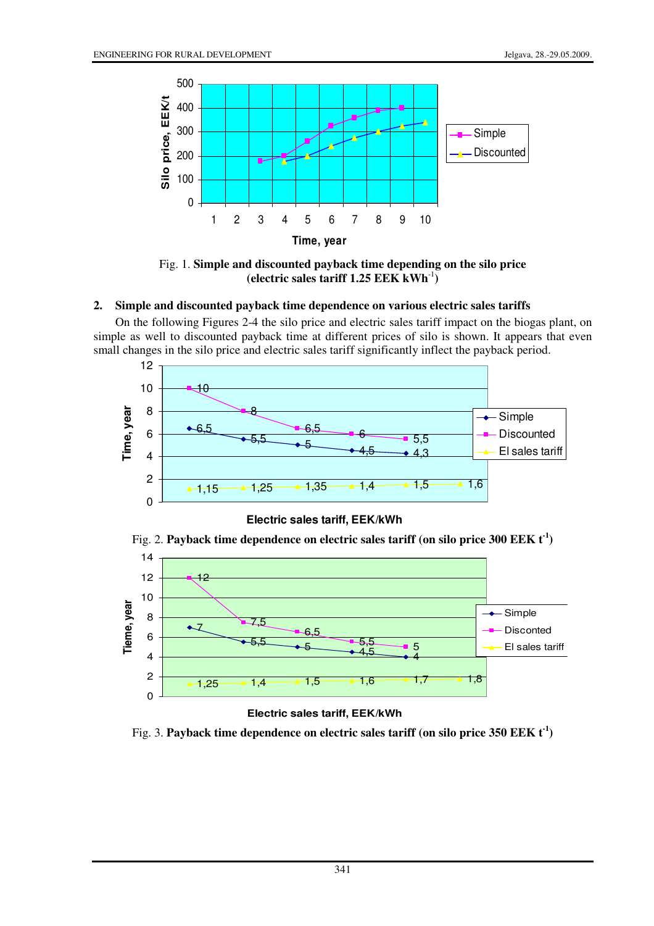

Fig. 1. **Simple and discounted payback time depending on the silo price (electric sales tariff 1.25 EEK kWh**-1**)**

### **2. Simple and discounted payback time dependence on various electric sales tariffs**

On the following Figures 2-4 the silo price and electric sales tariff impact on the biogas plant, on simple as well to discounted payback time at different prices of silo is shown. It appears that even small changes in the silo price and electric sales tariff significantly inflect the payback period.



**Electric sales tariff, EEK/kWh**

Fig. 2. **Payback time dependence on electric sales tariff (on silo price 300 EEK t-1)**



Fig. 3. **Payback time dependence on electric sales tariff (on silo price 350 EEK t-1)**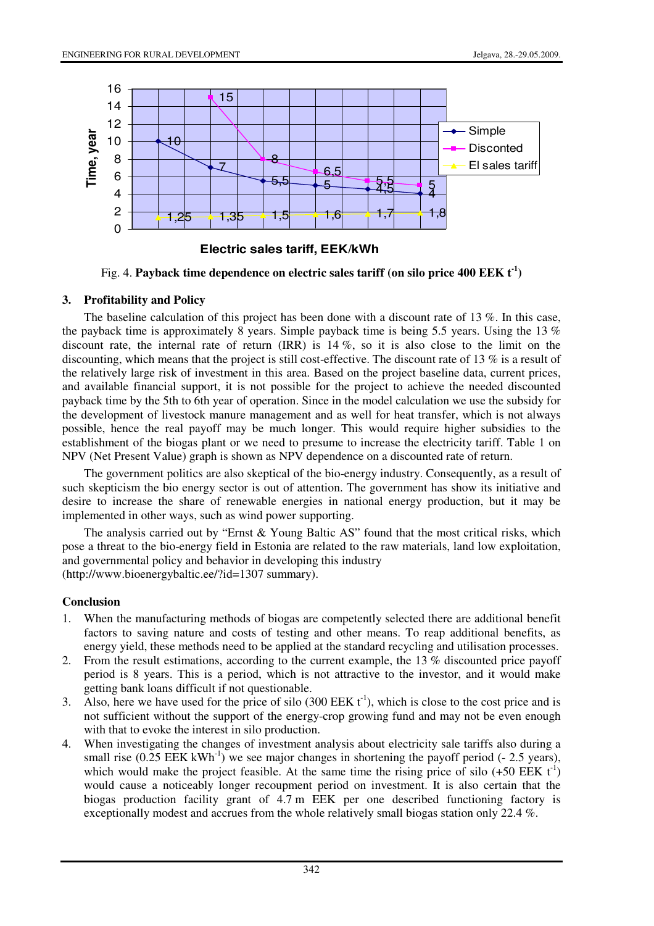

**Electric sales tariff, EEK/kWh**

Fig. 4. **Payback time dependence on electric sales tariff (on silo price 400 EEK**  $t^{-1}$ **)** 

### **3. Profitability and Policy**

The baseline calculation of this project has been done with a discount rate of 13 %. In this case, the payback time is approximately 8 years. Simple payback time is being 5.5 years. Using the 13 % discount rate, the internal rate of return (IRR) is 14 %, so it is also close to the limit on the discounting, which means that the project is still cost-effective. The discount rate of 13 % is a result of the relatively large risk of investment in this area. Based on the project baseline data, current prices, and available financial support, it is not possible for the project to achieve the needed discounted payback time by the 5th to 6th year of operation. Since in the model calculation we use the subsidy for the development of livestock manure management and as well for heat transfer, which is not always possible, hence the real payoff may be much longer. This would require higher subsidies to the establishment of the biogas plant or we need to presume to increase the electricity tariff. Table 1 on NPV (Net Present Value) graph is shown as NPV dependence on a discounted rate of return.

The government politics are also skeptical of the bio-energy industry. Consequently, as a result of such skepticism the bio energy sector is out of attention. The government has show its initiative and desire to increase the share of renewable energies in national energy production, but it may be implemented in other ways, such as wind power supporting.

The analysis carried out by "Ernst & Young Baltic AS" found that the most critical risks, which pose a threat to the bio-energy field in Estonia are related to the raw materials, land low exploitation, and governmental policy and behavior in developing this industry (http://www.bioenergybaltic.ee/?id=1307 summary).

### **Conclusion**

- 1. When the manufacturing methods of biogas are competently selected there are additional benefit factors to saving nature and costs of testing and other means. To reap additional benefits, as energy yield, these methods need to be applied at the standard recycling and utilisation processes.
- 2. From the result estimations, according to the current example, the 13 % discounted price payoff period is 8 years. This is a period, which is not attractive to the investor, and it would make getting bank loans difficult if not questionable.
- 3. Also, here we have used for the price of silo (300 EEK  $t^{-1}$ ), which is close to the cost price and is not sufficient without the support of the energy-crop growing fund and may not be even enough with that to evoke the interest in silo production.
- 4. When investigating the changes of investment analysis about electricity sale tariffs also during a small rise  $(0.25$  EEK kWh<sup>-1</sup>) we see major changes in shortening the payoff period  $(-2.5 \text{ years})$ , which would make the project feasible. At the same time the rising price of silo  $(+50 \text{ EEK } t^{-1})$ would cause a noticeably longer recoupment period on investment. It is also certain that the biogas production facility grant of 4.7 m EEK per one described functioning factory is exceptionally modest and accrues from the whole relatively small biogas station only 22.4 %.